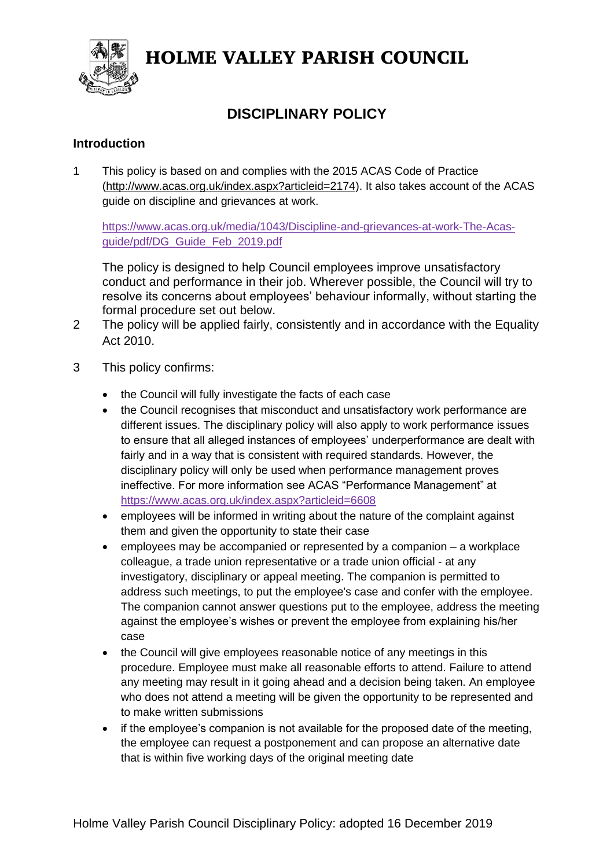

# HOLME VALLEY PARISH COUNCIL

## **DISCIPLINARY POLICY**

#### **Introduction**

1 This policy is based on and complies with the 2015 ACAS Code of Practice [\(http://www.acas.org.uk/index.aspx?articleid=2174\)](http://www.acas.org.uk/index.aspx?articleid=2174). It also takes account of the ACAS guide on discipline and grievances at work.

[https://www.acas.org.uk/media/1043/Discipline-and-grievances-at-work-The-Acas](https://www.acas.org.uk/media/1043/Discipline-and-grievances-at-work-The-Acas-guide/pdf/DG_Guide_Feb_2019.pdf)[guide/pdf/DG\\_Guide\\_Feb\\_2019.pdf](https://www.acas.org.uk/media/1043/Discipline-and-grievances-at-work-The-Acas-guide/pdf/DG_Guide_Feb_2019.pdf)

The policy is designed to help Council employees improve unsatisfactory conduct and performance in their job. Wherever possible, the Council will try to resolve its concerns about employees' behaviour informally, without starting the formal procedure set out below.

- 2 The policy will be applied fairly, consistently and in accordance with the Equality Act 2010.
- 3 This policy confirms:
	- the Council will fully investigate the facts of each case
	- the Council recognises that misconduct and unsatisfactory work performance are different issues. The disciplinary policy will also apply to work performance issues to ensure that all alleged instances of employees' underperformance are dealt with fairly and in a way that is consistent with required standards. However, the disciplinary policy will only be used when performance management proves ineffective. For more information see ACAS "Performance Management" at <https://www.acas.org.uk/index.aspx?articleid=6608>
	- employees will be informed in writing about the nature of the complaint against them and given the opportunity to state their case
	- employees may be accompanied or represented by a companion a workplace colleague, a trade union representative or a trade union official - at any investigatory, disciplinary or appeal meeting. The companion is permitted to address such meetings, to put the employee's case and confer with the employee. The companion cannot answer questions put to the employee, address the meeting against the employee's wishes or prevent the employee from explaining his/her case
	- the Council will give employees reasonable notice of any meetings in this procedure. Employee must make all reasonable efforts to attend. Failure to attend any meeting may result in it going ahead and a decision being taken. An employee who does not attend a meeting will be given the opportunity to be represented and to make written submissions
	- if the employee's companion is not available for the proposed date of the meeting, the employee can request a postponement and can propose an alternative date that is within five working days of the original meeting date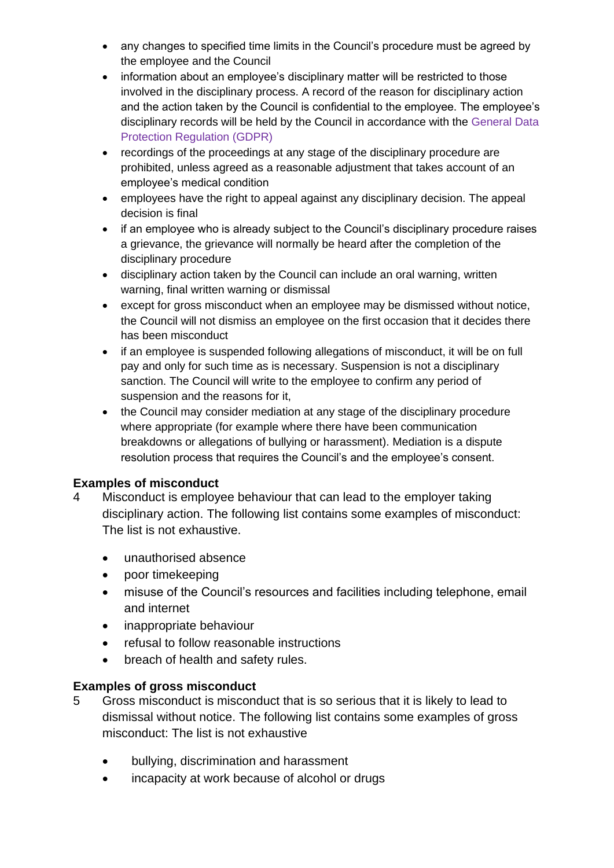- any changes to specified time limits in the Council's procedure must be agreed by the employee and the Council
- information about an employee's disciplinary matter will be restricted to those involved in the disciplinary process. A record of the reason for disciplinary action and the action taken by the Council is confidential to the employee. The employee's disciplinary records will be held by the Council in accordance with the General Data Protection Regulation (GDPR)
- recordings of the proceedings at any stage of the disciplinary procedure are prohibited, unless agreed as a reasonable adjustment that takes account of an employee's medical condition
- employees have the right to appeal against any disciplinary decision. The appeal decision is final
- if an employee who is already subject to the Council's disciplinary procedure raises a grievance, the grievance will normally be heard after the completion of the disciplinary procedure
- disciplinary action taken by the Council can include an oral warning, written warning, final written warning or dismissal
- except for gross misconduct when an employee may be dismissed without notice, the Council will not dismiss an employee on the first occasion that it decides there has been misconduct
- if an employee is suspended following allegations of misconduct, it will be on full pay and only for such time as is necessary. Suspension is not a disciplinary sanction. The Council will write to the employee to confirm any period of suspension and the reasons for it,
- the Council may consider mediation at any stage of the disciplinary procedure where appropriate (for example where there have been communication breakdowns or allegations of bullying or harassment). Mediation is a dispute resolution process that requires the Council's and the employee's consent.

## **Examples of misconduct**

- 4 Misconduct is employee behaviour that can lead to the employer taking disciplinary action. The following list contains some examples of misconduct: The list is not exhaustive.
	- unauthorised absence
	- poor timekeeping
	- misuse of the Council's resources and facilities including telephone, email and internet
	- inappropriate behaviour
	- refusal to follow reasonable instructions
	- breach of health and safety rules.

## **Examples of gross misconduct**

- 5 Gross misconduct is misconduct that is so serious that it is likely to lead to dismissal without notice. The following list contains some examples of gross misconduct: The list is not exhaustive
	- bullying, discrimination and harassment
	- incapacity at work because of alcohol or drugs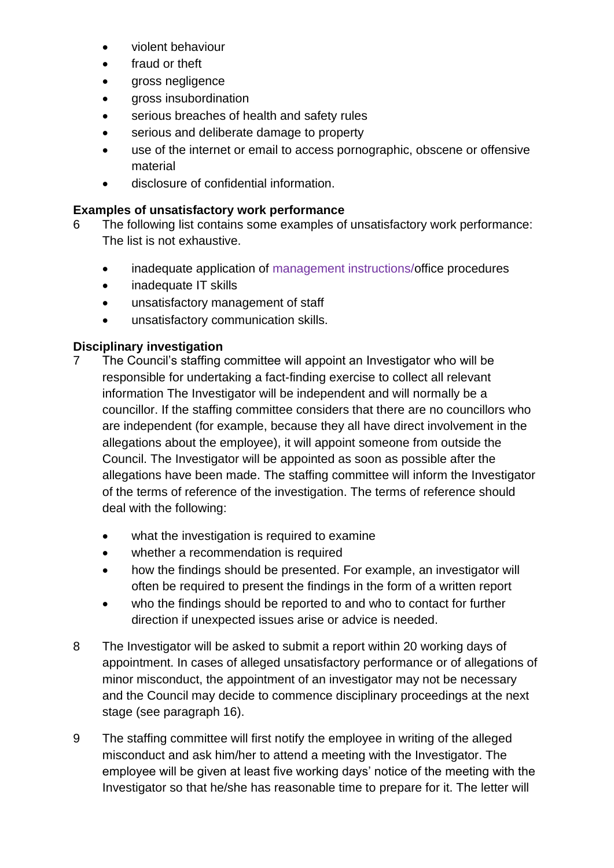- violent behaviour
- fraud or theft
- gross negligence
- gross insubordination
- serious breaches of health and safety rules
- serious and deliberate damage to property
- use of the internet or email to access pornographic, obscene or offensive material
- disclosure of confidential information.

## **Examples of unsatisfactory work performance**

- 6 The following list contains some examples of unsatisfactory work performance: The list is not exhaustive.
	- inadequate application of management instructions/office procedures
	- inadequate IT skills
	- unsatisfactory management of staff
	- unsatisfactory communication skills.

## **Disciplinary investigation**

- 7 The Council's staffing committee will appoint an Investigator who will be responsible for undertaking a fact-finding exercise to collect all relevant information The Investigator will be independent and will normally be a councillor. If the staffing committee considers that there are no councillors who are independent (for example, because they all have direct involvement in the allegations about the employee), it will appoint someone from outside the Council. The Investigator will be appointed as soon as possible after the allegations have been made. The staffing committee will inform the Investigator of the terms of reference of the investigation. The terms of reference should deal with the following:
	- what the investigation is required to examine
	- whether a recommendation is required
	- how the findings should be presented. For example, an investigator will often be required to present the findings in the form of a written report
	- who the findings should be reported to and who to contact for further direction if unexpected issues arise or advice is needed.
- 8 The Investigator will be asked to submit a report within 20 working days of appointment. In cases of alleged unsatisfactory performance or of allegations of minor misconduct, the appointment of an investigator may not be necessary and the Council may decide to commence disciplinary proceedings at the next stage (see paragraph 16).
- 9 The staffing committee will first notify the employee in writing of the alleged misconduct and ask him/her to attend a meeting with the Investigator. The employee will be given at least five working days' notice of the meeting with the Investigator so that he/she has reasonable time to prepare for it. The letter will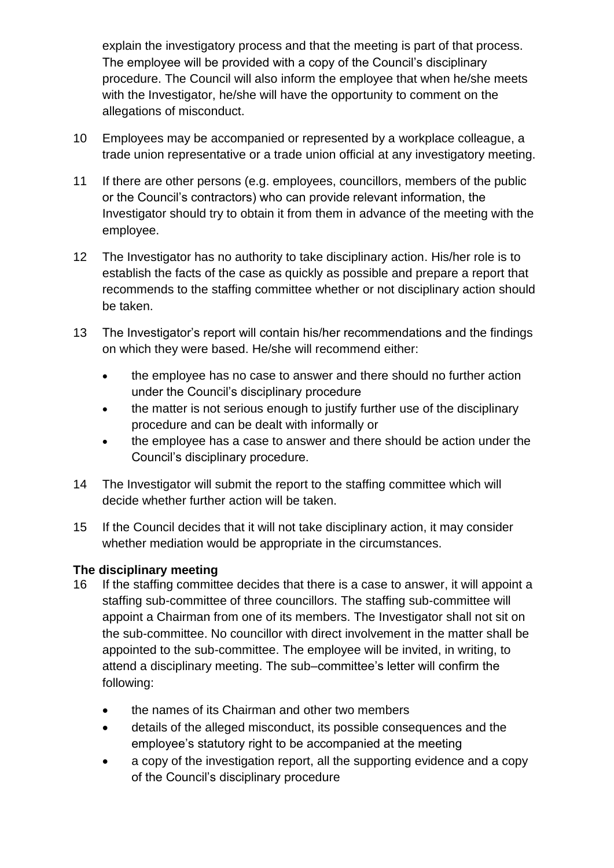explain the investigatory process and that the meeting is part of that process. The employee will be provided with a copy of the Council's disciplinary procedure. The Council will also inform the employee that when he/she meets with the Investigator, he/she will have the opportunity to comment on the allegations of misconduct.

- 10 Employees may be accompanied or represented by a workplace colleague, a trade union representative or a trade union official at any investigatory meeting.
- 11 If there are other persons (e.g. employees, councillors, members of the public or the Council's contractors) who can provide relevant information, the Investigator should try to obtain it from them in advance of the meeting with the employee.
- 12 The Investigator has no authority to take disciplinary action. His/her role is to establish the facts of the case as quickly as possible and prepare a report that recommends to the staffing committee whether or not disciplinary action should be taken.
- 13 The Investigator's report will contain his/her recommendations and the findings on which they were based. He/she will recommend either:
	- the employee has no case to answer and there should no further action under the Council's disciplinary procedure
	- the matter is not serious enough to justify further use of the disciplinary procedure and can be dealt with informally or
	- the employee has a case to answer and there should be action under the Council's disciplinary procedure.
- 14 The Investigator will submit the report to the staffing committee which will decide whether further action will be taken.
- 15 If the Council decides that it will not take disciplinary action, it may consider whether mediation would be appropriate in the circumstances.

## **The disciplinary meeting**

- 16 If the staffing committee decides that there is a case to answer, it will appoint a staffing sub-committee of three councillors. The staffing sub-committee will appoint a Chairman from one of its members. The Investigator shall not sit on the sub-committee. No councillor with direct involvement in the matter shall be appointed to the sub-committee. The employee will be invited, in writing, to attend a disciplinary meeting. The sub–committee's letter will confirm the following:
	- the names of its Chairman and other two members
	- details of the alleged misconduct, its possible consequences and the employee's statutory right to be accompanied at the meeting
	- a copy of the investigation report, all the supporting evidence and a copy of the Council's disciplinary procedure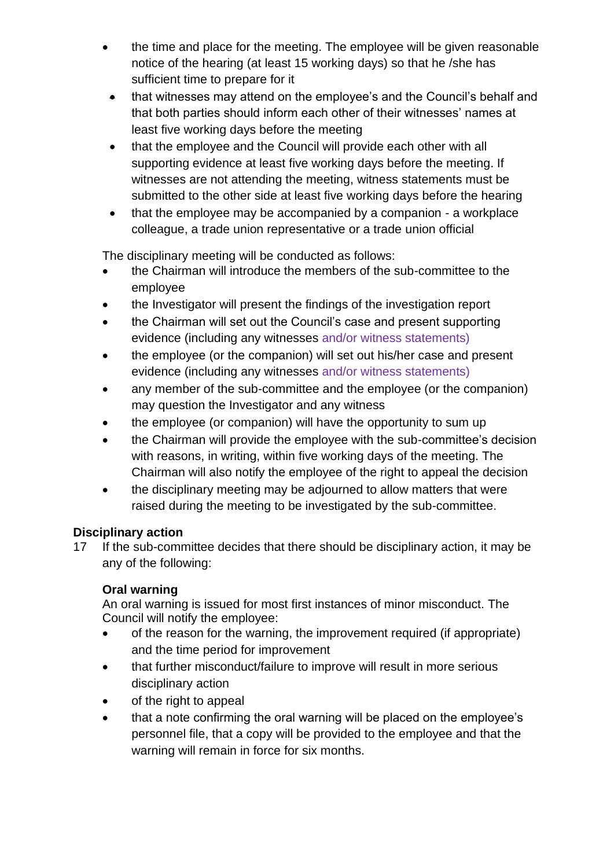- the time and place for the meeting. The employee will be given reasonable notice of the hearing (at least 15 working days) so that he /she has sufficient time to prepare for it
- that witnesses may attend on the employee's and the Council's behalf and that both parties should inform each other of their witnesses' names at least five working days before the meeting
- that the employee and the Council will provide each other with all supporting evidence at least five working days before the meeting. If witnesses are not attending the meeting, witness statements must be submitted to the other side at least five working days before the hearing
- that the employee may be accompanied by a companion a workplace colleague, a trade union representative or a trade union official

The disciplinary meeting will be conducted as follows:

- the Chairman will introduce the members of the sub-committee to the employee
- the Investigator will present the findings of the investigation report
- the Chairman will set out the Council's case and present supporting evidence (including any witnesses and/or witness statements)
- the employee (or the companion) will set out his/her case and present evidence (including any witnesses and/or witness statements)
- any member of the sub-committee and the employee (or the companion) may question the Investigator and any witness
- the employee (or companion) will have the opportunity to sum up
- the Chairman will provide the employee with the sub-committee's decision with reasons, in writing, within five working days of the meeting. The Chairman will also notify the employee of the right to appeal the decision
- the disciplinary meeting may be adjourned to allow matters that were raised during the meeting to be investigated by the sub-committee.

## **Disciplinary action**

17 If the sub-committee decides that there should be disciplinary action, it may be any of the following:

## **Oral warning**

An oral warning is issued for most first instances of minor misconduct. The Council will notify the employee:

- of the reason for the warning, the improvement required (if appropriate) and the time period for improvement
- that further misconduct/failure to improve will result in more serious disciplinary action
- of the right to appeal
- that a note confirming the oral warning will be placed on the employee's personnel file, that a copy will be provided to the employee and that the warning will remain in force for six months.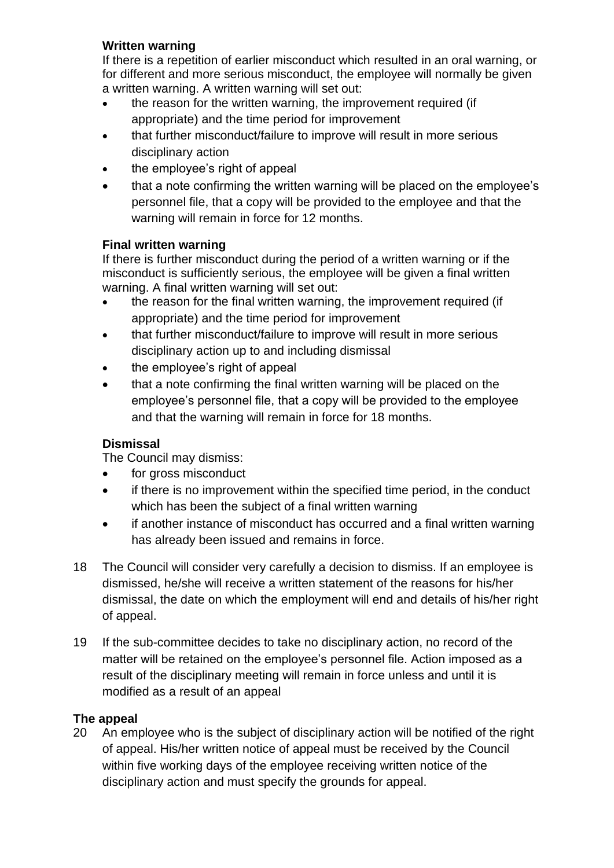## **Written warning**

If there is a repetition of earlier misconduct which resulted in an oral warning, or for different and more serious misconduct, the employee will normally be given a written warning. A written warning will set out:

- the reason for the written warning, the improvement required (if appropriate) and the time period for improvement
- that further misconduct/failure to improve will result in more serious disciplinary action
- the employee's right of appeal
- that a note confirming the written warning will be placed on the employee's personnel file, that a copy will be provided to the employee and that the warning will remain in force for 12 months.

#### **Final written warning**

If there is further misconduct during the period of a written warning or if the misconduct is sufficiently serious, the employee will be given a final written warning. A final written warning will set out:

- the reason for the final written warning, the improvement required (if appropriate) and the time period for improvement
- that further misconduct/failure to improve will result in more serious disciplinary action up to and including dismissal
- the employee's right of appeal
- that a note confirming the final written warning will be placed on the employee's personnel file, that a copy will be provided to the employee and that the warning will remain in force for 18 months.

## **Dismissal**

The Council may dismiss:

- for gross misconduct
- if there is no improvement within the specified time period, in the conduct which has been the subject of a final written warning
- if another instance of misconduct has occurred and a final written warning has already been issued and remains in force.
- 18 The Council will consider very carefully a decision to dismiss. If an employee is dismissed, he/she will receive a written statement of the reasons for his/her dismissal, the date on which the employment will end and details of his/her right of appeal.
- 19 If the sub-committee decides to take no disciplinary action, no record of the matter will be retained on the employee's personnel file. Action imposed as a result of the disciplinary meeting will remain in force unless and until it is modified as a result of an appeal

## **The appeal**

20 An employee who is the subject of disciplinary action will be notified of the right of appeal. His/her written notice of appeal must be received by the Council within five working days of the employee receiving written notice of the disciplinary action and must specify the grounds for appeal.